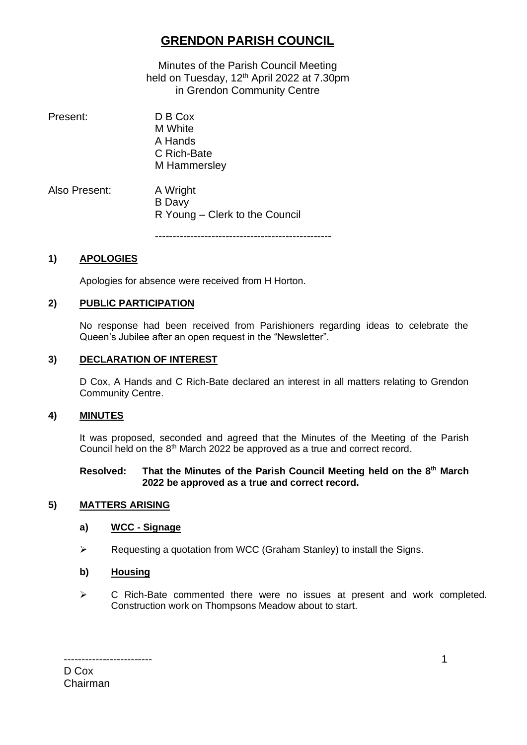# **GRENDON PARISH COUNCIL**

Minutes of the Parish Council Meeting held on Tuesday,  $12<sup>th</sup>$  April 2022 at 7.30pm in Grendon Community Centre

| Present:      | D B Cox<br>M White<br>A Hands<br>C Rich-Bate<br>M Hammersley |
|---------------|--------------------------------------------------------------|
| Also Present: | A Wright<br><b>B</b> Davy<br>R Young – Clerk to the Council  |

--------------------------------------------------

### **1) APOLOGIES**

Apologies for absence were received from H Horton.

### **2) PUBLIC PARTICIPATION**

No response had been received from Parishioners regarding ideas to celebrate the Queen's Jubilee after an open request in the "Newsletter".

### **3) DECLARATION OF INTEREST**

D Cox, A Hands and C Rich-Bate declared an interest in all matters relating to Grendon Community Centre.

### **4) MINUTES**

It was proposed, seconded and agreed that the Minutes of the Meeting of the Parish Council held on the 8<sup>th</sup> March 2022 be approved as a true and correct record.

#### **Resolved: That the Minutes of the Parish Council Meeting held on the 8 th March 2022 be approved as a true and correct record.**

### **5) MATTERS ARISING**

#### **a) WCC - Signage**

➢ Requesting a quotation from WCC (Graham Stanley) to install the Signs.

### **b) Housing**

➢ C Rich-Bate commented there were no issues at present and work completed. Construction work on Thompsons Meadow about to start.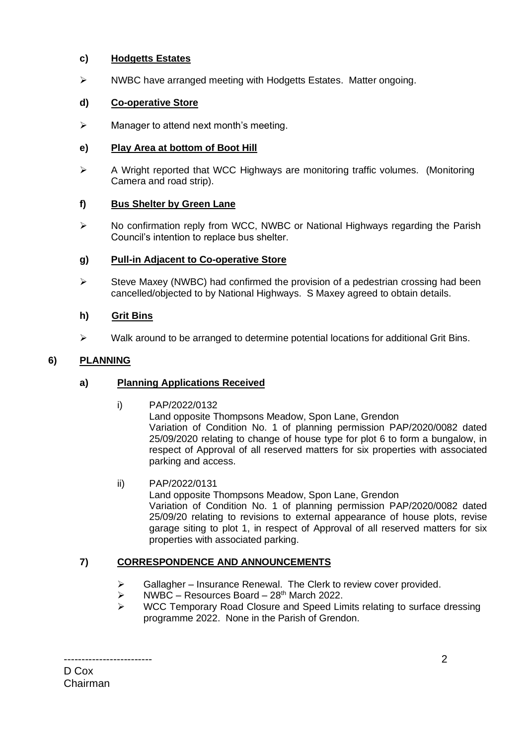### **c) Hodgetts Estates**

➢ NWBC have arranged meeting with Hodgetts Estates. Matter ongoing.

# **d) Co-operative Store**

 $\triangleright$  Manager to attend next month's meeting.

## **e) Play Area at bottom of Boot Hill**

➢ A Wright reported that WCC Highways are monitoring traffic volumes. (Monitoring Camera and road strip).

## **f) Bus Shelter by Green Lane**

➢ No confirmation reply from WCC, NWBC or National Highways regarding the Parish Council's intention to replace bus shelter.

## **g) Pull-in Adjacent to Co-operative Store**

 $\triangleright$  Steve Maxey (NWBC) had confirmed the provision of a pedestrian crossing had been cancelled/objected to by National Highways. S Maxey agreed to obtain details.

## **h) Grit Bins**

 $\triangleright$  Walk around to be arranged to determine potential locations for additional Grit Bins.

# **6) PLANNING**

### **a) Planning Applications Received**

i) PAP/2022/0132

Land opposite Thompsons Meadow, Spon Lane, Grendon Variation of Condition No. 1 of planning permission PAP/2020/0082 dated 25/09/2020 relating to change of house type for plot 6 to form a bungalow, in respect of Approval of all reserved matters for six properties with associated parking and access.

ii) PAP/2022/0131

Land opposite Thompsons Meadow, Spon Lane, Grendon Variation of Condition No. 1 of planning permission PAP/2020/0082 dated 25/09/20 relating to revisions to external appearance of house plots, revise garage siting to plot 1, in respect of Approval of all reserved matters for six properties with associated parking.

# **7) CORRESPONDENCE AND ANNOUNCEMENTS**

- $\triangleright$  Gallagher Insurance Renewal. The Clerk to review cover provided.
- $\triangleright$  NWBC Resources Board 28<sup>th</sup> March 2022.
- ➢ WCC Temporary Road Closure and Speed Limits relating to surface dressing programme 2022. None in the Parish of Grendon.

------------------------- D Cox Chairman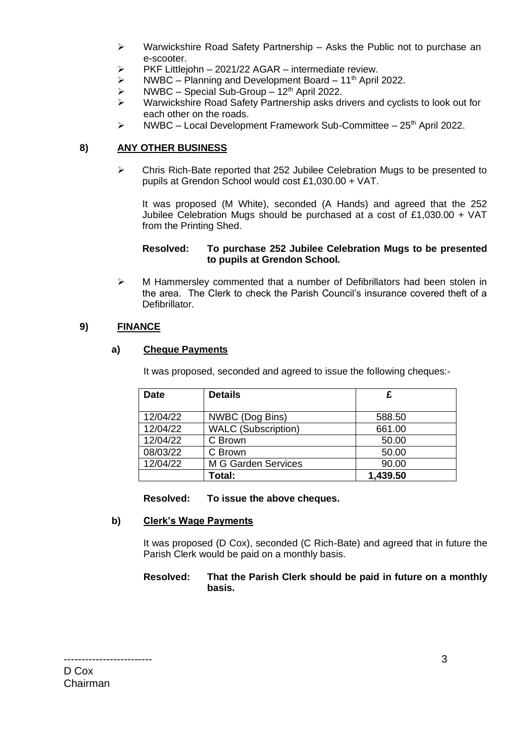- $\triangleright$  Warwickshire Road Safety Partnership Asks the Public not to purchase an e-scooter.
- $\triangleright$  PKF Littlejohn 2021/22 AGAR intermediate review.
- $\triangleright$  NWBC Planning and Development Board 11<sup>th</sup> April 2022.
- $\triangleright$  NWBC Special Sub-Group 12<sup>th</sup> April 2022.
- ➢ Warwickshire Road Safety Partnership asks drivers and cyclists to look out for each other on the roads.
- $\triangleright$  NWBC Local Development Framework Sub-Committee 25<sup>th</sup> April 2022.

### **8) ANY OTHER BUSINESS**

➢ Chris Rich-Bate reported that 252 Jubilee Celebration Mugs to be presented to pupils at Grendon School would cost £1,030.00 + VAT.

It was proposed (M White), seconded (A Hands) and agreed that the 252 Jubilee Celebration Mugs should be purchased at a cost of £1,030.00 + VAT from the Printing Shed.

#### **Resolved: To purchase 252 Jubilee Celebration Mugs to be presented to pupils at Grendon School.**

➢ M Hammersley commented that a number of Defibrillators had been stolen in the area. The Clerk to check the Parish Council's insurance covered theft of a Defibrillator.

### **9) FINANCE**

### **a) Cheque Payments**

It was proposed, seconded and agreed to issue the following cheques:-

| <b>Date</b> | <b>Details</b>             | £        |
|-------------|----------------------------|----------|
|             |                            |          |
| 12/04/22    | NWBC (Dog Bins)            | 588.50   |
| 12/04/22    | <b>WALC</b> (Subscription) | 661.00   |
| 12/04/22    | C Brown                    | 50.00    |
| 08/03/22    | C Brown                    | 50.00    |
| 12/04/22    | M G Garden Services        | 90.00    |
|             | Total:                     | 1,439.50 |

#### **Resolved: To issue the above cheques.**

### **b) Clerk's Wage Payments**

It was proposed (D Cox), seconded (C Rich-Bate) and agreed that in future the Parish Clerk would be paid on a monthly basis.

#### **Resolved: That the Parish Clerk should be paid in future on a monthly basis.**